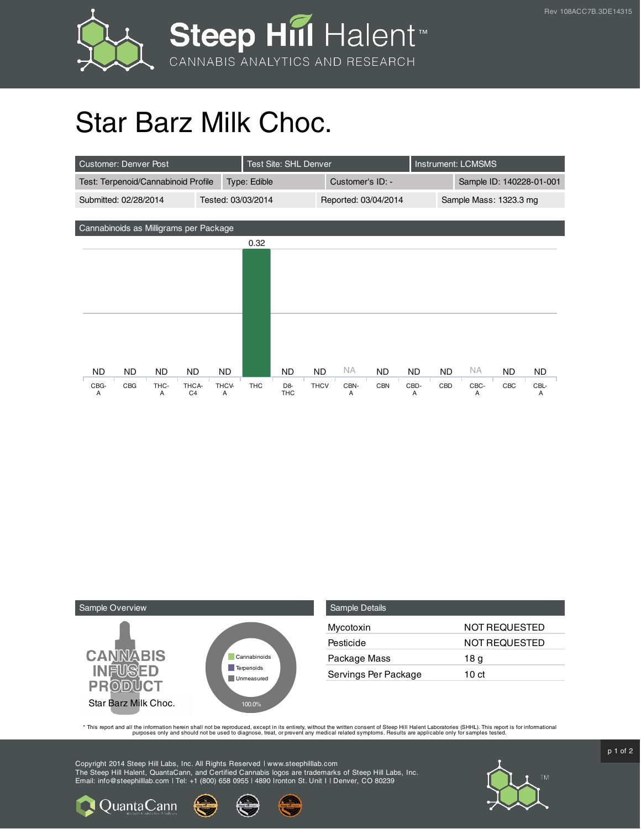

## Star Barz Milk Choc.

| <b>Customer: Denver Post</b>           |                                      |   |              | Test Site: SHL Denver |                              |                  |                      |            |                          | <b>Instrument: LCMSMS</b> |           |     |           |  |
|----------------------------------------|--------------------------------------|---|--------------|-----------------------|------------------------------|------------------|----------------------|------------|--------------------------|---------------------------|-----------|-----|-----------|--|
| Test: Terpenoid/Cannabinoid Profile    |                                      |   | Type: Edible |                       |                              | Customer's ID: - |                      |            | Sample ID: 140228-01-001 |                           |           |     |           |  |
| Submitted: 02/28/2014                  | Tested: 03/03/2014                   |   |              |                       |                              |                  | Reported: 03/04/2014 |            |                          | Sample Mass: 1323.3 mg    |           |     |           |  |
|                                        |                                      |   |              |                       |                              |                  |                      |            |                          |                           |           |     |           |  |
| Cannabinoids as Milligrams per Package |                                      |   |              |                       |                              |                  |                      |            |                          |                           |           |     |           |  |
|                                        |                                      |   |              | 0.32                  |                              |                  |                      |            |                          |                           |           |     |           |  |
|                                        |                                      |   |              |                       |                              |                  |                      |            |                          |                           |           |     |           |  |
|                                        |                                      |   |              |                       |                              |                  |                      |            |                          |                           |           |     |           |  |
|                                        |                                      |   |              |                       |                              |                  |                      |            |                          |                           |           |     |           |  |
|                                        |                                      |   |              |                       |                              |                  |                      |            |                          |                           |           |     |           |  |
|                                        |                                      |   |              |                       |                              |                  |                      |            |                          |                           |           |     |           |  |
|                                        |                                      |   |              |                       |                              |                  |                      |            |                          |                           |           |     |           |  |
|                                        |                                      |   |              |                       |                              |                  |                      |            |                          |                           |           |     |           |  |
|                                        |                                      |   |              |                       |                              |                  |                      |            |                          |                           |           |     |           |  |
| <b>ND</b><br>ND.                       | <b>ND</b><br>ND.                     |   | <b>ND</b>    |                       | <b>ND</b>                    | <b>ND</b>        | NA.                  | <b>ND</b>  | <b>ND</b>                | <b>ND</b>                 | <b>NA</b> | ND. | ND.       |  |
| CBG<br>CBG-<br>A                       | THC-<br>THCA-<br>C <sub>4</sub><br>A | A | THCV-        | <b>THC</b>            | D <sub>8</sub><br><b>THC</b> | <b>THCV</b>      | CBN-<br>A            | <b>CBN</b> | CBD-<br>A                | CBD                       | CBC-<br>A | CBC | CBL-<br>A |  |



| <b>Sample Details</b> |               |
|-----------------------|---------------|
| Mycotoxin             | NOT REQUESTED |
| Pesticide             | NOT REQUESTED |
| Package Mass          | 18 g          |
| Servings Per Package  | 10 ct         |

This report and all the information herein shall not be reporduced, except in its entirety, without the written consent of Steep Hill Halent Laboratories (SHHL). This report is for informational all the instance, treat, or

Copyright 2014 Steep Hill Labs, Inc. All Rights Reserved | www.steephilllab.com The Steep Hill Halent, QuantaCann, and Certified Cannabis logos are trademarks of Steep Hill Labs, Inc. Email: info@steephilllab.com | Tel: +1 (800) 658 0955 | 4890 Ironton St. Unit I | Denver, CO 80239



 $p$  1 of 2

**Q** Quanta Cann